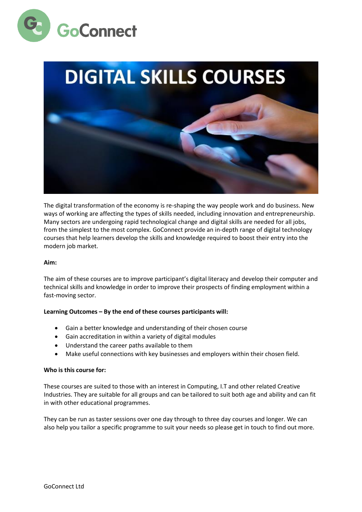



The digital transformation of the economy is re-shaping the way people work and do business. New ways of working are affecting the types of skills needed, including innovation and entrepreneurship. Many sectors are undergoing rapid technological change and digital skills are needed for all jobs, from the simplest to the most complex. GoConnect provide an in-depth range of digital technology courses that help learners develop the skills and knowledge required to boost their entry into the modern job market.

#### **Aim:**

The aim of these courses are to improve participant's digital literacy and develop their computer and technical skills and knowledge in order to improve their prospects of finding employment within a fast-moving sector.

## **Learning Outcomes – By the end of these courses participants will:**

- Gain a better knowledge and understanding of their chosen course
- Gain accreditation in within a variety of digital modules
- Understand the career paths available to them
- Make useful connections with key businesses and employers within their chosen field.

#### **Who is this course for:**

These courses are suited to those with an interest in Computing, I.T and other related Creative Industries. They are suitable for all groups and can be tailored to suit both age and ability and can fit in with other educational programmes.

They can be run as taster sessions over one day through to three day courses and longer. We can also help you tailor a specific programme to suit your needs so please get in touch to find out more.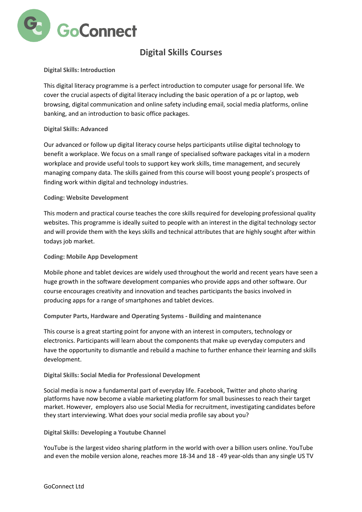

# **Digital Skills Courses**

## **Digital Skills: Introduction**

This digital literacy programme is a perfect introduction to computer usage for personal life. We cover the crucial aspects of digital literacy including the basic operation of a pc or laptop, web browsing, digital communication and online safety including email, social media platforms, online banking, and an introduction to basic office packages.

## **Digital Skills: Advanced**

Our advanced or follow up digital literacy course helps participants utilise digital technology to benefit a workplace. We focus on a small range of specialised software packages vital in a modern workplace and provide useful tools to support key work skills, time management, and securely managing company data. The skills gained from this course will boost young people's prospects of finding work within digital and technology industries.

## **Coding: Website Development**

This modern and practical course teaches the core skills required for developing professional quality websites. This programme is ideally suited to people with an interest in the digital technology sector and will provide them with the keys skills and technical attributes that are highly sought after within todays job market.

#### **Coding: Mobile App Development**

Mobile phone and tablet devices are widely used throughout the world and recent years have seen a huge growth in the software development companies who provide apps and other software. Our course encourages creativity and innovation and teaches participants the basics involved in producing apps for a range of smartphones and tablet devices.

## **Computer Parts, Hardware and Operating Systems - Building and maintenance**

This course is a great starting point for anyone with an interest in computers, technology or electronics. Participants will learn about the components that make up everyday computers and have the opportunity to dismantle and rebuild a machine to further enhance their learning and skills development.

## **Digital Skills: Social Media for Professional Development**

Social media is now a fundamental part of everyday life. Facebook, Twitter and photo sharing platforms have now become a viable marketing platform for small businesses to reach their target market. However, employers also use Social Media for recruitment, investigating candidates before they start interviewing. What does your social media profile say about you?

#### **Digital Skills: Developing a Youtube Channel**

YouTube is the largest video sharing platform in the world with over a billion users online. YouTube and even the mobile version alone, reaches more 18-34 and 18 - 49 year-olds than any single US TV